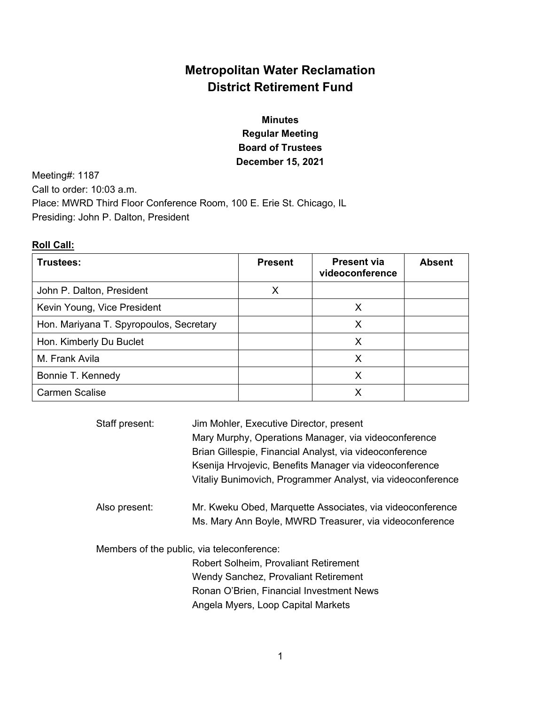# **Metropolitan Water Reclamation District Retirement Fund**

## **Minutes Regular Meeting Board of Trustees December 15, 2021**

Meeting#: 1187 Call to order: 10:03 a.m. Place: MWRD Third Floor Conference Room, 100 E. Erie St. Chicago, IL Presiding: John P. Dalton, President

### **Roll Call:**

| Trustees:                               | <b>Present</b> | <b>Present via</b><br>videoconference | <b>Absent</b> |
|-----------------------------------------|----------------|---------------------------------------|---------------|
| John P. Dalton, President               | X              |                                       |               |
| Kevin Young, Vice President             |                | X                                     |               |
| Hon. Mariyana T. Spyropoulos, Secretary |                | x                                     |               |
| Hon. Kimberly Du Buclet                 |                | X                                     |               |
| M. Frank Avila                          |                | Х                                     |               |
| Bonnie T. Kennedy                       |                | X                                     |               |
| <b>Carmen Scalise</b>                   |                |                                       |               |

| Staff present: | Jim Mohler, Executive Director, present<br>Mary Murphy, Operations Manager, via videoconference<br>Brian Gillespie, Financial Analyst, via videoconference |  |  |
|----------------|------------------------------------------------------------------------------------------------------------------------------------------------------------|--|--|
|                | Ksenija Hrvojevic, Benefits Manager via videoconference                                                                                                    |  |  |
|                | Vitaliy Bunimovich, Programmer Analyst, via videoconference                                                                                                |  |  |
| Also present:  | Mr. Kweku Obed, Marquette Associates, via videoconference                                                                                                  |  |  |
|                | Ms. Mary Ann Boyle, MWRD Treasurer, via videoconference                                                                                                    |  |  |
|                | Members of the public, via teleconference:                                                                                                                 |  |  |
|                | <b>Robert Solheim, Provaliant Retirement</b>                                                                                                               |  |  |
|                | Wendy Sanchez, Provaliant Retirement                                                                                                                       |  |  |
|                | Ronan O'Brien, Financial Investment News                                                                                                                   |  |  |
|                | Angela Myers, Loop Capital Markets                                                                                                                         |  |  |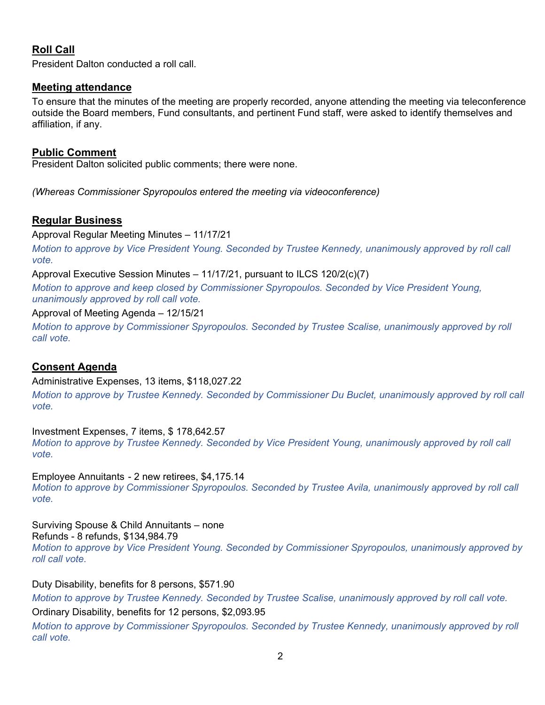## **Roll Call**

President Dalton conducted a roll call.

### **Meeting attendance**

To ensure that the minutes of the meeting are properly recorded, anyone attending the meeting via teleconference outside the Board members, Fund consultants, and pertinent Fund staff, were asked to identify themselves and affiliation, if any.

### **Public Comment**

President Dalton solicited public comments; there were none.

*(Whereas Commissioner Spyropoulos entered the meeting via videoconference)* 

### **Regular Business**

Approval Regular Meeting Minutes – 11/17/21

*Motion to approve by Vice President Young. Seconded by Trustee Kennedy, unanimously approved by roll call vote.*

Approval Executive Session Minutes – 11/17/21, pursuant to ILCS 120/2(c)(7)

*Motion to approve and keep closed by Commissioner Spyropoulos. Seconded by Vice President Young, unanimously approved by roll call vote.* 

### Approval of Meeting Agenda – 12/15/21

*Motion to approve by Commissioner Spyropoulos. Seconded by Trustee Scalise, unanimously approved by roll call vote.* 

## **Consent Agenda**

Administrative Expenses, 13 items, \$118,027.22

*Motion to approve by Trustee Kennedy. Seconded by Commissioner Du Buclet, unanimously approved by roll call vote.* 

Investment Expenses, 7 items, \$ 178,642.57 *Motion to approve by Trustee Kennedy. Seconded by Vice President Young, unanimously approved by roll call vote.*

Employee Annuitants - 2 new retirees, \$4,175.14

*Motion to approve by Commissioner Spyropoulos. Seconded by Trustee Avila, unanimously approved by roll call vote.* 

Surviving Spouse & Child Annuitants – none

Refunds - 8 refunds, \$134,984.79 *Motion to approve by Vice President Young. Seconded by Commissioner Spyropoulos, unanimously approved by roll call vote.* 

Duty Disability, benefits for 8 persons, \$571.90

*Motion to approve by Trustee Kennedy. Seconded by Trustee Scalise, unanimously approved by roll call vote.* 

Ordinary Disability, benefits for 12 persons, \$2,093.95

*Motion to approve by Commissioner Spyropoulos. Seconded by Trustee Kennedy, unanimously approved by roll call vote.*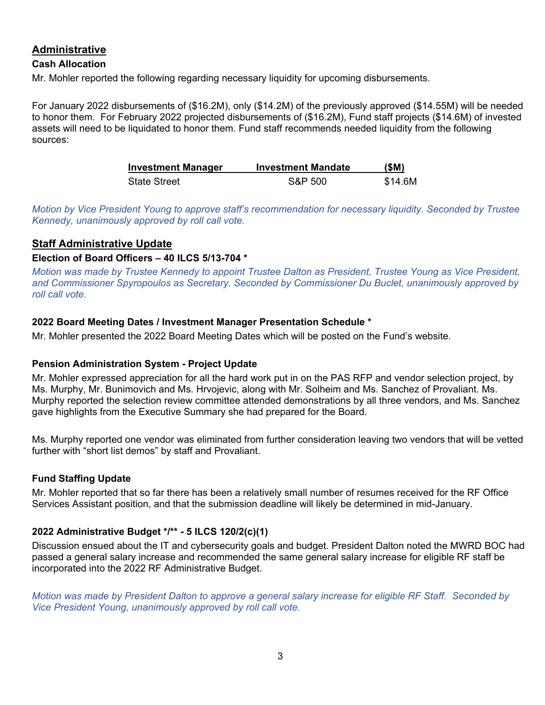## **Administrative**

### **Cash Allocation**

Mr. Mohler reported the following regarding necessary liquidity for upcoming disbursements.

For January 2022 disbursements of (\$16.2M), only (\$14.2M) of the previously approved (\$14.55M) will be needed to honor them. For February 2022 projected disbursements of (\$16.2M), Fund staff projects (\$14.6M) of invested assets will need to be liquidated to honor them. Fund staff recommends needed liquidity from the following sources:

| <b>Investment Manager</b> | <b>Investment Mandate</b> | (SM)    |
|---------------------------|---------------------------|---------|
| <b>State Street</b>       | S&P 500                   | \$14.6M |

*Motion by Vice President Young to approve staff's recommendation for necessary liquidity. Seconded by Trustee Kennedy, unanimously approved by roll call vote.* 

## **Staff Administrative Update**

## **Election of Board Officers – 40 ILCS 5/13-704 \***

*Motion was made by Trustee Kennedy to appoint Trustee Dalton as President, Trustee Young as Vice President, and Commissioner Spyropoulos as Secretary. Seconded by Commissioner Du Buclet, unanimously approved by roll call vote.* 

## **2022 Board Meeting Dates / Investment Manager Presentation Schedule \***

Mr. Mohler presented the 2022 Board Meeting Dates which will be posted on the Fund's website.

## **Pension Administration System - Project Update**

Mr. Mohler expressed appreciation for all the hard work put in on the PAS RFP and vendor selection project, by Ms. Murphy, Mr. Bunimovich and Ms. Hrvojevic, along with Mr. Solheim and Ms. Sanchez of Provaliant. Ms. Murphy reported the selection review committee attended demonstrations by all three vendors, and Ms. Sanchez gave highlights from the Executive Summary she had prepared for the Board.

Ms. Murphy reported one vendor was eliminated from further consideration leaving two vendors that will be vetted further with "short list demos" by staff and Provaliant.

## **Fund Staffing Update**

Mr. Mohler reported that so far there has been a relatively small number of resumes received for the RF Office Services Assistant position, and that the submission deadline will likely be determined in mid-January.

## **2022 Administrative Budget \*/\*\* - 5 ILCS 120/2(c)(1)**

Discussion ensued about the IT and cybersecurity goals and budget. President Dalton noted the MWRD BOC had passed a general salary increase and recommended the same general salary increase for eligible RF staff be incorporated into the 2022 RF Administrative Budget.

*Motion was made by President Dalton to approve a general salary increase for eligible RF Staff. Seconded by Vice President Young, unanimously approved by roll call vote.*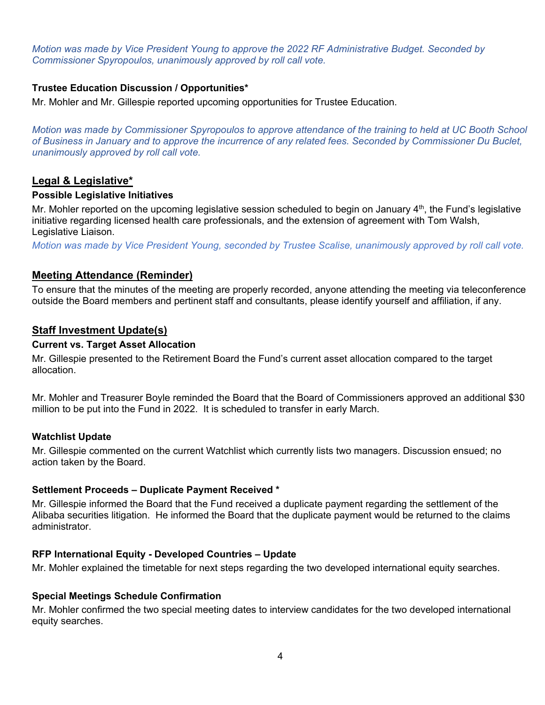*Motion was made by Vice President Young to approve the 2022 RF Administrative Budget. Seconded by Commissioner Spyropoulos, unanimously approved by roll call vote.* 

### **Trustee Education Discussion / Opportunities\***

Mr. Mohler and Mr. Gillespie reported upcoming opportunities for Trustee Education.

*Motion was made by Commissioner Spyropoulos to approve attendance of the training to held at UC Booth School of Business in January and to approve the incurrence of any related fees. Seconded by Commissioner Du Buclet, unanimously approved by roll call vote.* 

### **Legal & Legislative\***

#### **Possible Legislative Initiatives**

Mr. Mohler reported on the upcoming legislative session scheduled to begin on January  $4<sup>th</sup>$ , the Fund's legislative initiative regarding licensed health care professionals, and the extension of agreement with Tom Walsh, Legislative Liaison.

*Motion was made by Vice President Young, seconded by Trustee Scalise, unanimously approved by roll call vote.*

### **Meeting Attendance (Reminder)**

To ensure that the minutes of the meeting are properly recorded, anyone attending the meeting via teleconference outside the Board members and pertinent staff and consultants, please identify yourself and affiliation, if any.

### **Staff Investment Update(s)**

#### **Current vs. Target Asset Allocation**

Mr. Gillespie presented to the Retirement Board the Fund's current asset allocation compared to the target allocation.

Mr. Mohler and Treasurer Boyle reminded the Board that the Board of Commissioners approved an additional \$30 million to be put into the Fund in 2022. It is scheduled to transfer in early March.

#### **Watchlist Update**

Mr. Gillespie commented on the current Watchlist which currently lists two managers. Discussion ensued; no action taken by the Board.

#### **Settlement Proceeds – Duplicate Payment Received \***

Mr. Gillespie informed the Board that the Fund received a duplicate payment regarding the settlement of the Alibaba securities litigation. He informed the Board that the duplicate payment would be returned to the claims administrator.

#### **RFP International Equity - Developed Countries – Update**

Mr. Mohler explained the timetable for next steps regarding the two developed international equity searches.

#### **Special Meetings Schedule Confirmation**

Mr. Mohler confirmed the two special meeting dates to interview candidates for the two developed international equity searches.